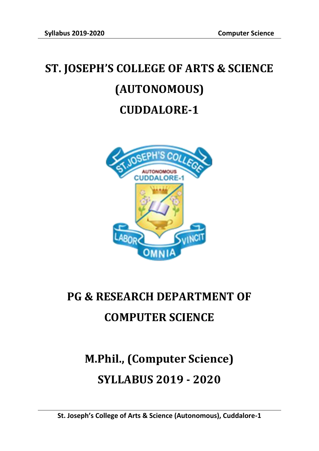## **ST. JOSEPH'S COLLEGE OF ARTS & SCIENCE (AUTONOMOUS) CUDDALORE-1**



## **PG & RESEARCH DEPARTMENT OF COMPUTER SCIENCE**

# **M.Phil., (Computer Science) SYLLABUS 2019 - 2020**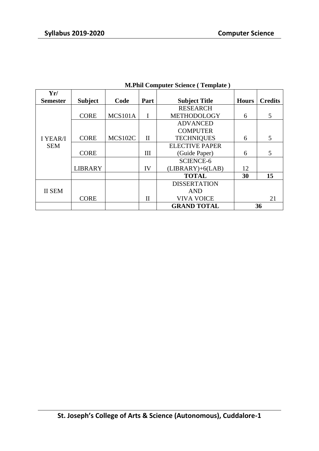| Yr/             |                |                |                    |                       |              |                |
|-----------------|----------------|----------------|--------------------|-----------------------|--------------|----------------|
| <b>Semester</b> | <b>Subject</b> | Code           | Part               | <b>Subject Title</b>  | <b>Hours</b> | <b>Credits</b> |
|                 |                |                |                    | <b>RESEARCH</b>       |              |                |
|                 | <b>CORE</b>    | MCS101A        | I                  | METHODOLOGY           | 6            | 5              |
|                 |                |                |                    | <b>ADVANCED</b>       |              |                |
|                 |                |                |                    | <b>COMPUTER</b>       |              |                |
| I YEAR/I        | <b>CORE</b>    | <b>MCS102C</b> | $\mathbf{I}$       | <b>TECHNIQUES</b>     | 6            | 5              |
| <b>SEM</b>      |                |                |                    | <b>ELECTIVE PAPER</b> |              |                |
|                 | <b>CORE</b>    |                | III                | (Guide Paper)         | 6            | 5              |
|                 |                |                |                    | <b>SCIENCE-6</b>      |              |                |
|                 | <b>LIBRARY</b> |                | IV                 | $(LIBRARY)+6(LAB)$    | 12           |                |
|                 |                |                |                    | <b>TOTAL</b>          | 30           | 15             |
|                 |                |                |                    | <b>DISSERTATION</b>   |              |                |
| <b>II SEM</b>   |                |                |                    | <b>AND</b>            |              |                |
|                 | <b>CORE</b>    |                | $\mathbf{I}$       | <b>VIVA VOICE</b>     | 21           |                |
|                 |                |                | <b>GRAND TOTAL</b> |                       |              | 36             |

#### **M.Phil Computer Science ( Template )**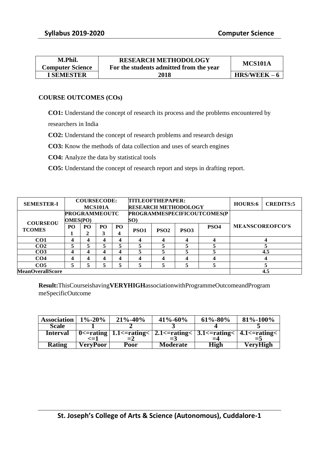| M.Phil.                 | <b>RESEARCH METHODOLOGY</b>             | MCS101A        |
|-------------------------|-----------------------------------------|----------------|
| <b>Computer Science</b> | For the students admitted from the year |                |
| <b>I SEMESTER</b>       | 2018                                    | $HRS/WEEK - 6$ |

#### **COURSE OUTCOMES (COs)**

**CO1:** Understand the concept of research its process and the problems encountered by

researchers in India

**CO2:** Understand the concept of research problems and research design

**CO3:** Know the methods of data collection and uses of search engines

**CO4:** Analyze the data by statistical tools

**CO5:** Understand the concept of research report and steps in drafting report.

| <b>SEMESTER-I</b>                | <b>COURSECODE:</b><br>MCS101A           |         |         |                 | <b>TITLEOFTHEPAPER:</b><br><b>RESEARCH METHODOLOGY</b> |                  |                             |                  | HOURS:6                | <b>CREDITS:5</b> |
|----------------------------------|-----------------------------------------|---------|---------|-----------------|--------------------------------------------------------|------------------|-----------------------------|------------------|------------------------|------------------|
|                                  | <b>PROGRAMMEOUTC</b><br><b>OMES(PO)</b> |         |         |                 | SO)                                                    |                  | PROGRAMMESPECIFICOUTCOMES(P |                  |                        |                  |
| <b>COURSEOU</b><br><b>TCOMES</b> | P <sub>O</sub>                          | PO<br>2 | PO<br>3 | PO <sub>1</sub> | PSO <sub>1</sub>                                       | PSO <sub>2</sub> | PSO <sub>3</sub>            | PSO <sub>4</sub> | <b>MEANSCOREOFCO'S</b> |                  |
| CO <sub>1</sub>                  | $\boldsymbol{4}$                        | 4       |         | 4               | Δ                                                      | 4                | 4                           |                  |                        |                  |
| CO <sub>2</sub>                  | 5                                       |         |         |                 |                                                        | 5                |                             |                  |                        |                  |
| CO <sub>3</sub>                  | 4                                       | 4       |         | 4               |                                                        | 5                |                             |                  |                        | 4.5              |
| CO <sub>4</sub>                  | 4                                       | 4       |         | 4               | 4                                                      | 4                | 4                           |                  |                        |                  |
| CO <sub>5</sub>                  | 5                                       |         |         |                 | 5                                                      | 5                | 5                           |                  |                        |                  |
| <b>MeanOverallScore</b>          |                                         |         |         |                 |                                                        |                  |                             |                  |                        | 4.5              |

**Result:**ThisCourseishaving**VERYHIGH**associationwithProgrammeOutcomeandProgram meSpecificOutcome

| <b>Association</b> | $1\% - 20\%$ | $21\% - 40\%$ | $41\% - 60\%$                                                                                                                                                                                                                                                                                                                                        | $61\% - 80\%$ | $81\% - 100\%$ |
|--------------------|--------------|---------------|------------------------------------------------------------------------------------------------------------------------------------------------------------------------------------------------------------------------------------------------------------------------------------------------------------------------------------------------------|---------------|----------------|
| <b>Scale</b>       |              |               |                                                                                                                                                                                                                                                                                                                                                      |               |                |
| Interval           |              |               | $\overline{0}$ = $\overline{0}$ = $\overline{0}$ = $\overline{0}$ = $\overline{1}$ .1 = $\overline{0}$ = $\overline{1}$ = $\overline{1}$ = $\overline{1}$ = $\overline{1}$ = $\overline{1}$ = $\overline{1}$ = $\overline{1}$ = $\overline{1}$ = $\overline{1}$ = $\overline{1}$ = $\overline{1}$ = $\overline{1}$ = $\overline{1}$ = $\overline{1}$ |               |                |
|                    |              |               |                                                                                                                                                                                                                                                                                                                                                      |               |                |
| <b>Rating</b>      | VervPoor     | Poor          | <b>Moderate</b>                                                                                                                                                                                                                                                                                                                                      | <b>High</b>   | VeryHigh       |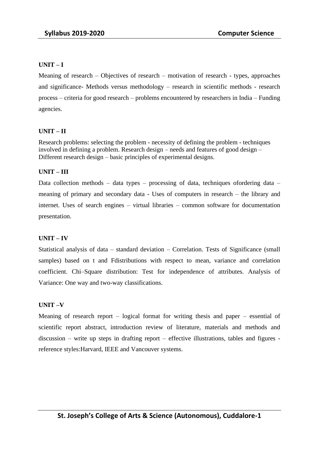#### **UNIT – I**

Meaning of research – Objectives of research – motivation of research - types, approaches and significance- Methods versus methodology – research in scientific methods - research process – criteria for good research – problems encountered by researchers in India – Funding agencies.

#### **UNIT – II**

Research problems: selecting the problem - necessity of defining the problem - techniques involved in defining a problem. Research design – needs and features of good design – Different research design – basic principles of experimental designs.

#### **UNIT – III**

Data collection methods – data types – processing of data, techniques ofordering data – meaning of primary and secondary data - Uses of computers in research – the library and internet. Uses of search engines – virtual libraries – common software for documentation presentation.

#### **UNIT – IV**

Statistical analysis of data – standard deviation – Correlation. Tests of Significance (small samples) based on t and Fdistributions with respect to mean, variance and correlation coefficient. Chi–Square distribution: Test for independence of attributes. Analysis of Variance: One way and two-way classifications.

#### **UNIT –V**

Meaning of research report – logical format for writing thesis and paper – essential of scientific report abstract, introduction review of literature, materials and methods and discussion – write up steps in drafting report – effective illustrations, tables and figures reference styles:Harvard, IEEE and Vancouver systems.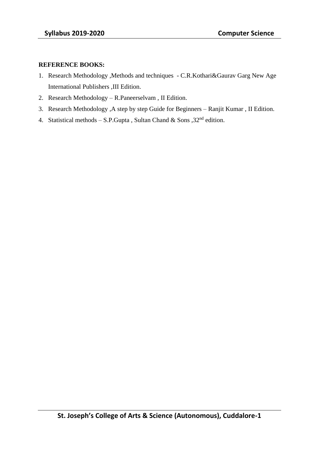#### **REFERENCE BOOKS:**

- 1. Research Methodology ,Methods and techniques C.R.Kothari&Gaurav Garg New Age International Publishers ,III Edition.
- 2. Research Methodology R.Paneerselvam , II Edition.
- 3. Research Methodology ,A step by step Guide for Beginners Ranjit Kumar , II Edition.
- 4. Statistical methods S.P.Gupta, Sultan Chand & Sons,  $32<sup>nd</sup>$  edition.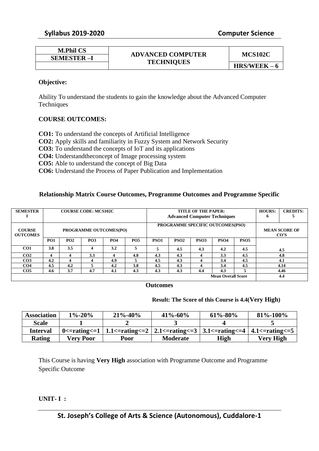| <b>M.Phil CS</b>  |                          | MCS102C        |  |
|-------------------|--------------------------|----------------|--|
| <b>SEMESTER-I</b> | <b>ADVANCED COMPUTER</b> |                |  |
|                   | <b>TECHNIQUES</b>        | $HRS/WEEK - 6$ |  |

#### **Objective:**

Ability To understand the students to gain the knowledge about the Advanced Computer **Techniques** 

#### **COURSE OUTCOMES:**

**CO1:** To understand the concepts of Artificial Intelligence **CO2:** Apply skills and familiarity in Fuzzy System and Network Security **CO3:** To understand the concepts of IoT and its applications **CO4:** Understandtheconcept of Image processing system **CO5:** Able to understand the concept of Big Data **CO6:** Understand the Process of Paper Publication and Implementation

#### **Relationship Matrix Course Outcomes, Programme Outcomes and Programme Specific**

| <b>SEMESTER</b>                  | <b>COURSE CODE: MCS102C</b>   |     |            |            |            | TITLE OF THE PAPER:<br><b>Advanced Computer Techniques</b> |                   |                  | HOURS:<br>o               | <b>CREDITS:</b>  |                                |      |
|----------------------------------|-------------------------------|-----|------------|------------|------------|------------------------------------------------------------|-------------------|------------------|---------------------------|------------------|--------------------------------|------|
|                                  |                               |     |            |            |            |                                                            |                   |                  |                           |                  |                                |      |
| <b>COURSE</b><br><b>OUTCOMES</b> | <b>PROGRAMME OUTCOMES(PO)</b> |     |            |            |            | PROGRAMME SPECIFIC OUTCOMES(PSO)                           |                   |                  |                           |                  | <b>MEAN SCORE OF</b><br>$\cos$ |      |
|                                  | <b>PO1</b>                    | PO2 | <b>PO3</b> | <b>PO4</b> | <b>PO5</b> | PSO <sub>1</sub>                                           | PS <sub>O</sub> 2 | PSO <sub>3</sub> | PSO <sub>4</sub>          | PSO <sub>5</sub> |                                |      |
| CO1                              | 3.8                           | 3.5 | 4          | 3.2        | 5          |                                                            | 4.5               | 4.3              | 4.2                       | 4.5              |                                | 4.5  |
| CO <sub>2</sub>                  | 4                             |     | 3.3        |            | 4.8        | 4.3                                                        | 4.3               |                  | 3.3                       | 4.5              |                                | 4.8  |
| CO <sub>3</sub>                  | 4.2                           | 4   | 4          | 4.9        | 5          | 4.5                                                        | 4.3               |                  | 3.4                       | 4.5              |                                | 4.1  |
| CO <sub>4</sub>                  | 4.5                           | 4.2 | 5          | 4.2        | 3.8        | 4.5                                                        | 4.3               |                  | 3.4                       | 4.5              |                                | 4.14 |
| CO <sub>5</sub>                  | 4.6                           | 3.7 | 4.7        | 4.1        | 4.3        | 4.3                                                        | 4.3               | 4.4              | 4.3                       |                  |                                | 4.46 |
|                                  |                               |     |            |            |            |                                                            |                   |                  | <b>Mean Overall Score</b> |                  |                                | 4.4  |

#### **Outcomes**

#### **Result: The Score of this Course is 4.4(Very High)**

| <b>Association</b> | $1\% - 20\%$ | $21\% - 40\%$ | $41\% - 60\%$                                                                                                                                                                                       | $61\% - 80\%$ | 81\%-100\%       |
|--------------------|--------------|---------------|-----------------------------------------------------------------------------------------------------------------------------------------------------------------------------------------------------|---------------|------------------|
| <b>Scale</b>       |              |               |                                                                                                                                                                                                     |               |                  |
| <b>Interval</b>    |              |               | 0 $\epsilon$ -rating $\epsilon$ = 1   1.1 $\epsilon$ -rating $\epsilon$ = 2   2.1 $\epsilon$ -rating $\epsilon$ = 3   3.1 $\epsilon$ -rating $\epsilon$ = 4   4.1 $\epsilon$ -rating $\epsilon$ = 5 |               |                  |
| Rating             | Verv Poor    | Poor          | <b>Moderate</b>                                                                                                                                                                                     | High          | <b>Very High</b> |

This Course is having **Very High** association with Programme Outcome and Programme Specific Outcome

#### **UNIT- I :**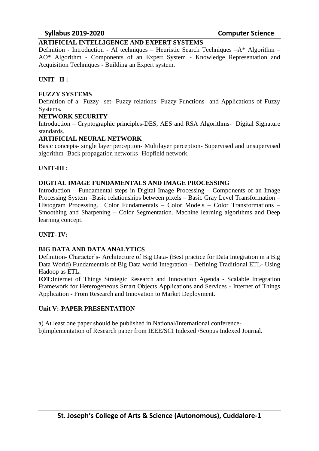#### **Syllabus 2019-2020 Computer Science**

#### **ARTIFICIAL INTELLIGENCE AND EXPERT SYSTEMS**

Definition - Introduction - AI techniques – Heuristic Search Techniques –A\* Algorithm – AO\* Algorithm - Components of an Expert System - Knowledge Representation and Acquisition Techniques - Building an Expert system.

#### **UNIT –II :**

#### **FUZZY SYSTEMS**

Definition of a Fuzzy set- Fuzzy relations- Fuzzy Functions and Applications of Fuzzy Systems.

#### **NETWORK SECURITY**

Introduction – Cryptographic principles-DES, AES and RSA Algorithms- Digital Signature standards.

#### **ARTIFICIAL NEURAL NETWORK**

Basic concepts- single layer perception- Multilayer perception- Supervised and unsupervised algorithm- Back propagation networks- Hopfield network.

#### **UNIT-III :**

#### **DIGITAL IMAGE FUNDAMENTALS AND IMAGE PROCESSING**

Introduction – Fundamental steps in Digital Image Processing – Components of an Image Processing System –Basic relationships between pixels – Basic Gray Level Transformation – Histogram Processing. Color Fundamentals – Color Models – Color Transformations – Smoothing and Sharpening – Color Segmentation. Machine learning algorithms and Deep learning concept.

#### **UNIT- IV:**

#### **BIG DATA AND DATA ANALYTICS**

Definition- Character's- Architecture of Big Data- (Best practice for Data Integration in a Big Data World) Fundamentals of Big Data world Integration – Defining Traditional ETL- Using Hadoop as ETL.

**IOT:**Internet of Things Strategic Research and Innovation Agenda - Scalable Integration Framework for Heterogeneous Smart Objects Applications and Services - Internet of Things Application - From Research and Innovation to Market Deployment.

#### **Unit V:-PAPER PRESENTATION**

a) At least one paper should be published in National/International conferenceb)Implementation of Research paper from IEEE/SCI Indexed /Scopus Indexed Journal.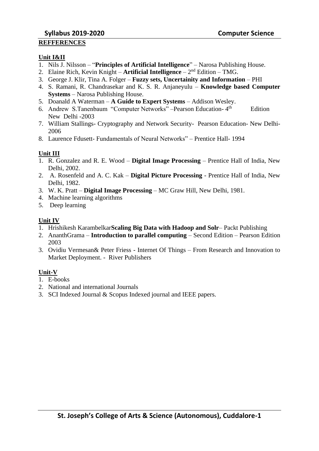#### **Unit I&II**

- 1. Nils J. Nilsson "**Principles of Artificial Intelligence**" Narosa Publishing House.
- 2. Elaine Rich, Kevin Knight **Artificial Intelligence** 2<sup>nd</sup> Edition TMG.
- 3. George J. Klir, Tina A. Folger **Fuzzy sets, Uncertainity and Information** PHI
- 4. S. Ramani, R. Chandrasekar and K. S. R. Anjaneyulu **Knowledge based Computer Systems** – Narosa Publishing House.
- 5. Doanald A Waterman **A Guide to Expert Systems** Addison Wesley.
- 6. Andrew S.Tanenbaum "Computer Networks" –Pearson Education- 4 Edition New Delhi -2003
- 7. William Stallings- Cryptography and Network Security- Pearson Education- New Delhi-2006
- 8. Laurence Fdusett- Fundamentals of Neural Networks" Prentice Hall- 1994

#### **Unit III**

- 1. R. Gonzalez and R. E. Wood **Digital Image Processing** Prentice Hall of India, New Delhi, 2002.
- 2. A. Rosenfeld and A. C. Kak **Digital Picture Processing** Prentice Hall of India, New Delhi, 1982.
- 3. W. K. Pratt **Digital Image Processing** MC Graw Hill, New Delhi, 1981.
- 4. Machine learning algorithms
- 5. Deep learning

#### **Unit IV**

- 1. Hrishikesh Karambelkar**Scaling Big Data with Hadoop and Solr** Packt Publishing
- 2. AnanthGrama **Introduction to parallel computing**  Second Edition Pearson Edition 2003
- 3. Ovidiu Vermesan& Peter Friess Internet Of Things From Research and Innovation to Market Deployment. - River Publishers

#### **Unit-V**

- 1. E-books
- 2. National and international Journals
- 3. SCI Indexed Journal & Scopus Indexed journal and IEEE papers.